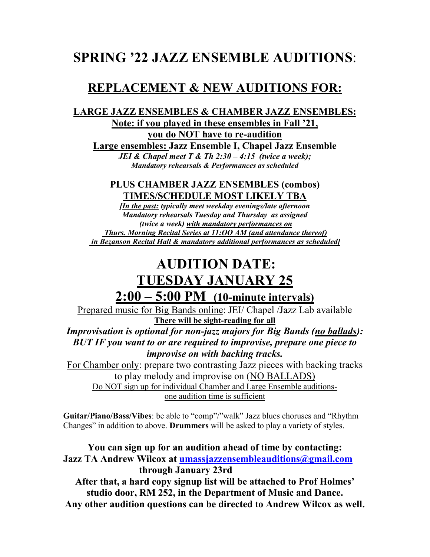## **SPRING '22 JAZZ ENSEMBLE AUDITIONS**:

### **REPLACEMENT & NEW AUDITIONS FOR:**

#### **LARGE JAZZ ENSEMBLES & CHAMBER JAZZ ENSEMBLES: Note: if you played in these ensembles in Fall '21, you do NOT have to re-audition**

**Large ensembles: Jazz Ensemble I, Chapel Jazz Ensemble**  *JEI & Chapel meet T & Th 2:30 – 4:15 (twice a week); Mandatory rehearsals & Performances as scheduled*

**PLUS CHAMBER JAZZ ENSEMBLES (combos) TIMES/SCHEDULE MOST LIKELY TBA**

*[In the past: typically meet weekday evenings/late afternoon Mandatory rehearsals Tuesday and Thursday as assigned (twice a week) with mandatory performances on Thurs. Morning Recital Series at 11:OO AM (and attendance thereof) in Bezanson Recital Hall & mandatory additional performances as scheduled]*

# **AUDITION DATE: TUESDAY JANUARY 25**

**2:00 – 5:00 PM (10-minute intervals)**

Prepared music for Big Bands online: JEI/ Chapel /Jazz Lab available **There will be sight-reading for all** *Improvisation is optional for non-jazz majors for Big Bands (no ballads):*

*BUT IF you want to or are required to improvise, prepare one piece to improvise on with backing tracks.* 

For Chamber only: prepare two contrasting Jazz pieces with backing tracks to play melody and improvise on (NO BALLADS) Do NOT sign up for individual Chamber and Large Ensemble auditionsone audition time is sufficient

**Guitar/Piano/Bass/Vibes**: be able to "comp"/"walk" Jazz blues choruses and "Rhythm Changes" in addition to above. **Drummers** will be asked to play a variety of styles.

**You can sign up for an audition ahead of time by contacting: Jazz TA Andrew Wilcox at [umassjazzensembleauditions@gmail.com](mailto:umassjazzensembleauditions@gmail.com) through January 23rd After that, a hard copy signup list will be attached to Prof Holmes' studio door, RM 252, in the Department of Music and Dance.**

**Any other audition questions can be directed to Andrew Wilcox as well.**